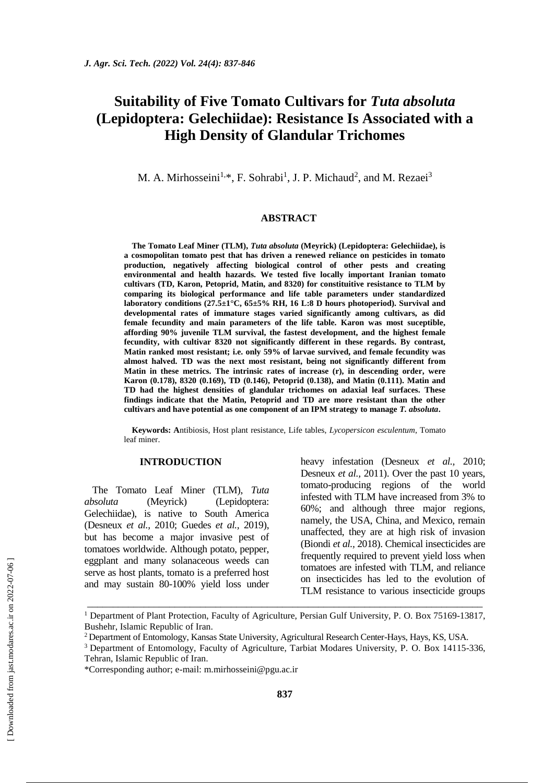# **Suitability of Five Tomato Cultivars for** *Tuta absoluta* **(Lepidoptera: Gelechiidae): Resistance Is Associated with a High Density of Glandular Trichomes**

M. A. Mirhosseini<sup>1,\*</sup>, F. Sohrabi<sup>1</sup>, J. P. Michaud<sup>2</sup>, and M. Rezaei<sup>3</sup>

# **ABSTRACT**

**The Tomato Leaf Miner (TLM),** *Tuta absoluta* **(Meyrick) (Lepidoptera: Gelechiidae), is a cosmopolitan tomato pest that has driven a renewed reliance on pesticides in tomato production, negatively affecting biological control of other pests and creating environmental and health hazards. We tested five locally important Iranian tomato cultivars (TD, Karon, Petoprid, Matin, and 8320) for constituitive resistance to TLM by comparing its biological performance and life table parameters under standardized laboratory conditions (27.5±1°C, 65±5% RH, 16 L:8 D hours photoperiod). Survival and developmental rates of immature stages varied significantly among cultivars, as did female fecundity and main parameters of the life table. Karon was most suceptible, affording 90% juvenile TLM survival, the fastest development, and the highest female fecundity, with cultivar 8320 not significantly different in these regards. By contrast, Matin ranked most resistant; i.e. only 59% of larvae survived, and female fecundity was almost halved. TD was the next most resistant, being not significantly different from Matin in these metrics. The intrinsic rates of increase (r), in descending order, were Karon (0.178), 8320 (0.169), TD (0.146), Petoprid (0.138), and Matin (0.111). Matin and TD had the highest densities of glandular trichomes on adaxial leaf surfaces. These findings indicate that the Matin, Petoprid and TD are more resistant than the other cultivars and have potential as one component of an IPM strategy to manage** *T. absoluta***.**

**Keywords: A**ntibiosis, Host plant resistance, Life tables, *Lycopersicon esculentum*, Tomato leaf miner.

# **INTRODUCTION**

The Tomato Leaf Miner (TLM), *Tuta absoluta* (Meyrick) (Lepidoptera: Gelechiidae), is native to South America (Desneux *et al.,* 2010; Guedes *et al.,* 2019), but has become a major invasive pest of tomatoes worldwide. Although potato, pepper, eggplant and many solanaceous weeds can serve as host plants, tomato is a preferred host and may sustain 80-100% yield loss under heavy infestation (Desneux *et al.,* 2010; Desneux *et al.,* 2011). Over the past 10 years, tomato-producing regions of the world infested with TLM have increased from 3% to 60%; and although three major regions, namely, the USA, China, and Mexico, remain unaffected, they are at high risk of invasion (Biondi *et al.,* 2018). Chemical insecticides are frequently required to prevent yield loss when tomatoes are infested with TLM, and reliance on insecticides has led to the evolution of TLM resistance to various insecticide groups

\_\_\_\_\_\_\_\_\_\_\_\_\_\_\_\_\_\_\_\_\_\_\_\_\_\_\_\_\_\_\_\_\_\_\_\_\_\_\_\_\_\_\_\_\_\_\_\_\_\_\_\_\_\_\_\_\_\_\_\_\_\_\_\_\_\_\_\_\_\_\_\_\_\_\_\_\_

<sup>&</sup>lt;sup>1</sup> Department of Plant Protection, Faculty of Agriculture, Persian Gulf University, P. O. Box 75169-13817, Bushehr, Islamic Republic of Iran.

<sup>2</sup>Department of Entomology, Kansas State University, Agricultural Research Center-Hays, Hays, KS, USA.

<sup>3</sup>Department of Entomology, Faculty of Agriculture, Tarbiat Modares University, P. O. Box 14115-336, Tehran, Islamic Republic of Iran.

<sup>\*</sup>Corresponding author; e-mail: [m.mirhosseini@pgu.ac.ir](mailto:m.mirhosseini@pgu.ac.ir)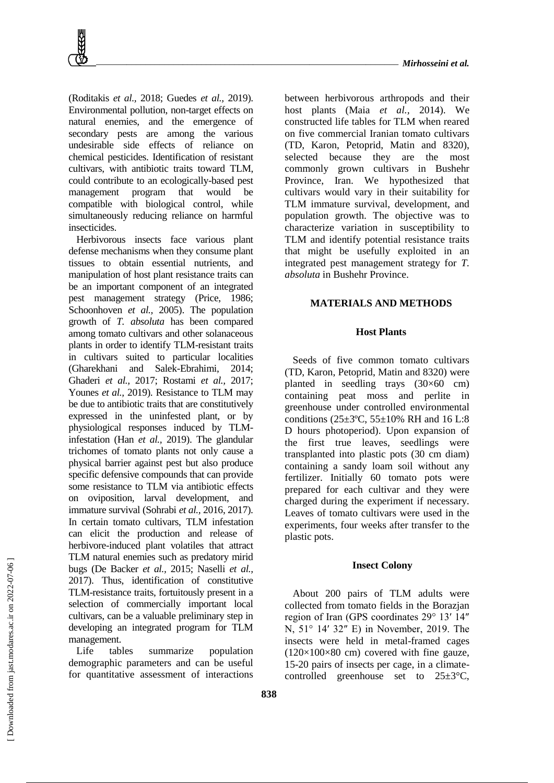

(Roditakis *et al.,* 2018; Guedes *et al.,* 2019). Environmental pollution, non-target effects on natural enemies, and the emergence of secondary pests are among the various undesirable side effects of reliance on chemical pesticides. Identification of resistant cultivars, with antibiotic traits toward TLM, could contribute to an ecologically-based pest management program that would be compatible with biological control, while simultaneously reducing reliance on harmful insecticides.

Herbivorous insects face various plant defense mechanisms when they consume plant tissues to obtain essential nutrients, and manipulation of host plant resistance traits can be an important component of an integrated pest management strategy (Price, 1986; Schoonhoven *et al.,* 2005). The population growth of *T. absoluta* has been compared among tomato cultivars and other solanaceous plants in order to identify TLM-resistant traits in cultivars suited to particular localities (Gharekhani and Salek-Ebrahimi, 2014; Ghaderi *et al.,* 2017; Rostami *et al.,* 2017; Younes *et al.,* 2019). Resistance to TLM may be due to antibiotic traits that are constitutively expressed in the uninfested plant, or by physiological responses induced by TLMinfestation (Han *et al.,* 2019). The glandular trichomes of tomato plants not only cause a physical barrier against pest but also produce specific defensive compounds that can provide some resistance to TLM via antibiotic effects on oviposition, larval development, and immature survival (Sohrabi *et al.,* 2016, 2017). In certain tomato cultivars, TLM infestation can elicit the production and release of herbivore-induced plant volatiles that attract TLM natural enemies such as predatory mirid bugs (De Backer *et al.,* 2015; Naselli *et al.,* 2017). Thus, identification of constitutive TLM-resistance traits, fortuitously present in a selection of commercially important local cultivars, can be a valuable preliminary step in developing an integrated program for TLM management.

Life tables summarize population demographic parameters and can be useful for quantitative assessment of interactions

between herbivorous arthropods and their host plants (Maia *et al.,* 2014). We constructed life tables for TLM when reared on five commercial Iranian tomato cultivars (TD, Karon, Petoprid, Matin and 8320), selected because they are the most commonly grown cultivars in Bushehr Province, Iran. We hypothesized that cultivars would vary in their suitability for TLM immature survival, development, and population growth. The objective was to characterize variation in susceptibility to TLM and identify potential resistance traits that might be usefully exploited in an integrated pest management strategy for *T. absoluta* in Bushehr Province.

# **MATERIALS AND METHODS**

# **Host Plants**

Seeds of five common tomato cultivars (TD, Karon, Petoprid, Matin and 8320) were planted in seedling trays  $(30\times60$  cm) containing peat moss and perlite in greenhouse under controlled environmental conditions (25±3ºC, 55±10% RH and 16 L:8 D hours photoperiod). Upon expansion of the first true leaves, seedlings were transplanted into plastic pots (30 cm diam) containing a sandy loam soil without any fertilizer. Initially 60 tomato pots were prepared for each cultivar and they were charged during the experiment if necessary. Leaves of tomato cultivars were used in the experiments, four weeks after transfer to the plastic pots.

#### **Insect Colony**

About 200 pairs of TLM adults were collected from tomato fields in the Borazjan region of Iran (GPS coordinates 29° 13′ 14″ N, 51° 14′ 32″ E) in November, 2019. The insects were held in metal-framed cages  $(120\times100\times80$  cm) covered with fine gauze, 15-20 pairs of insects per cage, in a climatecontrolled greenhouse set to 25±3°C,

 [\[ Downloaded from jast.modares.ac.ir on 2](https://jast.modares.ac.ir/article-23-50838-en.html)022-07-06 ] Downloaded from jast.modares.ac.ir on 2022-07-06]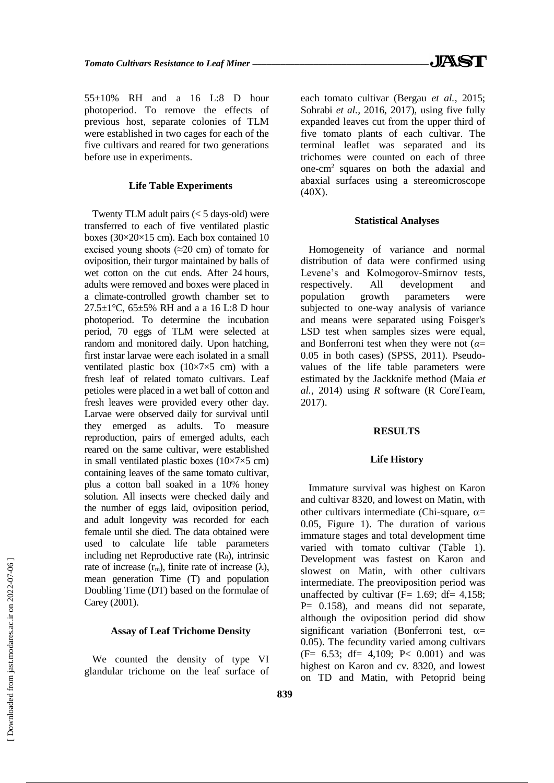55±10% RH and a 16 L:8 D hour photoperiod. To remove the effects of previous host, separate colonies of TLM were established in two cages for each of the five cultivars and reared for two generations before use in experiments.

## **Life Table Experiments**

Twenty TLM adult pairs  $(< 5$  days-old) were transferred to each of five ventilated plastic boxes (30×20×15 cm). Each box contained 10 excised young shoots (≈20 cm) of tomato for oviposition, their turgor maintained by balls of wet cotton on the cut ends. After 24 hours, adults were removed and boxes were placed in a climate-controlled growth chamber set to 27.5 $\pm$ 1°C, 65 $\pm$ 5% RH and a a 16 L:8 D hour photoperiod. To determine the incubation period, 70 eggs of TLM were selected at random and monitored daily. Upon hatching, first instar larvae were each isolated in a small ventilated plastic box  $(10\times7\times5$  cm) with a fresh leaf of related tomato cultivars. Leaf petioles were placed in a wet ball of cotton and fresh leaves were provided every other day. Larvae were observed daily for survival until they emerged as adults. To measure reproduction, pairs of emerged adults, each reared on the same cultivar, were established in small ventilated plastic boxes  $(10\times7\times5$  cm) containing leaves of the same tomato cultivar, plus a cotton ball soaked in a 10% honey solution. All insects were checked daily and the number of eggs laid, oviposition period, and adult longevity was recorded for each female until she died. The data obtained were used to calculate life table parameters including net Reproductive rate  $(R_0)$ , intrinsic rate of increase  $(r_m)$ , finite rate of increase  $(\lambda)$ , mean generation Time (T) and population Doubling Time (DT) based on the formulae of Carey (2001).

## **Assay of Leaf Trichome Density**

We counted the density of type VI glandular trichome on the leaf surface of each tomato cultivar (Bergau *et al.*, 2015; Sohrabi *et al.,* 2016, 2017), using five fully expanded leaves cut from the upper third of five tomato plants of each cultivar. The terminal leaflet was separated and its trichomes were counted on each of three one-cm<sup>2</sup> squares on both the adaxial and abaxial surfaces using a stereomicroscope (40X).

# **Statistical Analyses**

Homogeneity of variance and normal distribution of data were confirmed using Levene's and Kolmogorov-Smirnov tests, respectively. All development and population growth parameters were subjected to one-way analysis of variance and means were separated using Foisger's LSD test when samples sizes were equal, and Bonferroni test when they were not (*α*= 0.05 in both cases) (SPSS, 2011). Pseudovalues of the life table parameters were estimated by the Jackknife method (Maia *et al.,* 2014) using *R* software (R CoreTeam, 2017).

## **RESULTS**

#### **Life History**

Immature survival was highest on Karon and cultivar 8320, and lowest on Matin, with other cultivars intermediate (Chi-square,  $\alpha$ = 0.05, Figure 1). The duration of various immature stages and total development time varied with tomato cultivar (Table 1). Development was fastest on Karon and slowest on Matin, with other cultivars intermediate. The preoviposition period was unaffected by cultivar ( $\overline{F}$ = 1.69; df= 4,158;  $P= 0.158$ , and means did not separate, although the oviposition period did show significant variation (Bonferroni test,  $\alpha$ = 0.05). The fecundity varied among cultivars (F= 6.53; df= 4,109; P< 0.001) and was highest on Karon and cv. 8320, and lowest on TD and Matin, with Petoprid being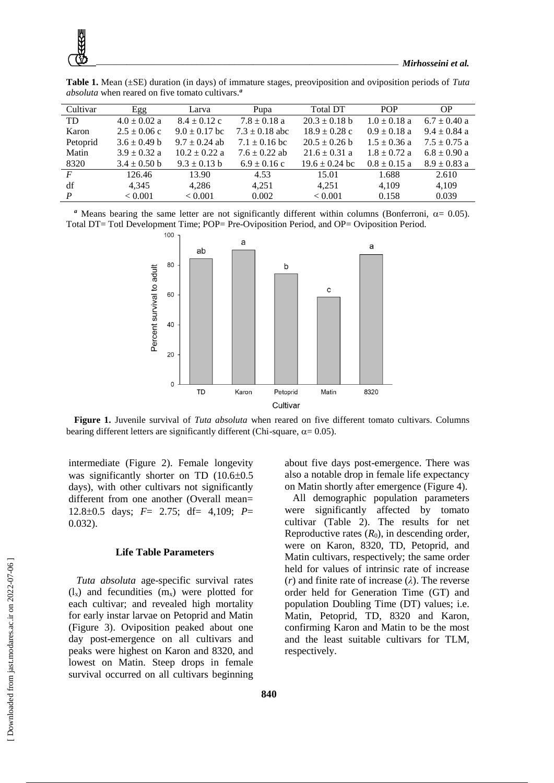| Cultivar       | Egg              | Larva             | Pupa               | <b>Total DT</b>    | <b>POP</b>       | <b>OP</b>        |
|----------------|------------------|-------------------|--------------------|--------------------|------------------|------------------|
| TD             | $4.0 \pm 0.02$ a | $8.4 \pm 0.12$ c  | $7.8 \pm 0.18$ a   | $20.3 \pm 0.18$ b  | $1.0 \pm 0.18$ a | $6.7 \pm 0.40$ a |
| Karon          | $2.5 \pm 0.06$ c | $9.0 \pm 0.17$ bc | $7.3 \pm 0.18$ abc | $18.9 \pm 0.28$ c  | $0.9 \pm 0.18$ a | $9.4 \pm 0.84$ a |
| Petoprid       | $3.6 \pm 0.49$ b | $9.7 \pm 0.24$ ab | $7.1 \pm 0.16$ bc  | $20.5 \pm 0.26$ b  | $1.5 \pm 0.36$ a | $7.5 \pm 0.75$ a |
| Matin          | $3.9 \pm 0.32$ a | $10.2 \pm 0.22$ a | $7.6 \pm 0.22$ ab  | $21.6 \pm 0.31$ a  | $1.8 \pm 0.72$ a | $6.8 \pm 0.90$ a |
| 8320           | $3.4 \pm 0.50$ b | $9.3 \pm 0.13$ b  | $6.9 \pm 0.16$ c   | $19.6 \pm 0.24$ bc | $0.8 \pm 0.15$ a | $8.9 \pm 0.83$ a |
| $\overline{F}$ | 126.46           | 13.90             | 4.53               | 15.01              | 1.688            | 2.610            |
| df             | 4.345            | 4.286             | 4,251              | 4.251              | 4,109            | 4,109            |
| $\overline{P}$ | < 0.001          | < 0.001           | 0.002              | < 0.001            | 0.158            | 0.039            |

**Table 1.** Mean (±SE) duration (in days) of immature stages, preoviposition and oviposition periods of *Tuta absoluta* when reared on five tomato cultivars.*<sup>a</sup>*

*a* Means bearing the same letter are not significantly different within columns (Bonferroni,  $\alpha = 0.05$ ). Total DT= Totl Development Time; POP= Pre-Oviposition Period, and OP= Oviposition Period.



**Figure 1.** Juvenile survival of *Tuta absoluta* when reared on five different tomato cultivars. Columns bearing different letters are significantly different (Chi-square,  $\alpha$  = 0.05).

intermediate (Figure 2). Female longevity was significantly shorter on TD  $(10.6\pm0.5$ days), with other cultivars not significantly different from one another (Overall mean= 12.80.5 days; *F*= 2.75; df= 4,109; *P*= 0.032).

## **Life Table Parameters**

*Tuta absoluta* age-specific survival rates  $(l_x)$  and fecundities  $(m_x)$  were plotted for each cultivar; and revealed high mortality for early instar larvae on Petoprid and Matin (Figure 3). Oviposition peaked about one day post-emergence on all cultivars and peaks were highest on Karon and 8320, and lowest on Matin. Steep drops in female survival occurred on all cultivars beginning about five days post-emergence. There was also a notable drop in female life expectancy on Matin shortly after emergence (Figure 4).

All demographic population parameters were significantly affected by tomato cultivar (Table 2). The results for net Reproductive rates  $(R_0)$ , in descending order, were on Karon, 8320, TD, Petoprid, and Matin cultivars, respectively; the same order held for values of intrinsic rate of increase (*r*) and finite rate of increase (*λ*). The reverse order held for Generation Time (GT) and population Doubling Time (DT) values; i.e. Matin, Petoprid, TD, 8320 and Karon, confirming Karon and Matin to be the most and the least suitable cultivars for TLM, respectively.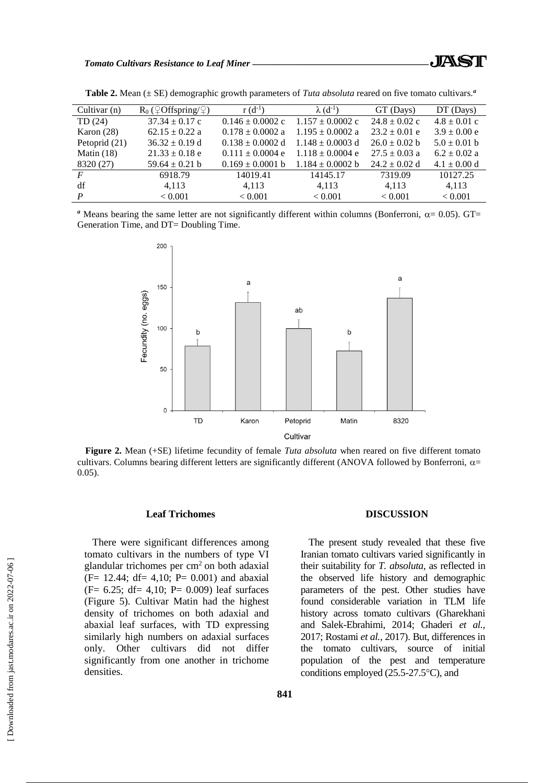**Table 2.** Mean (± SE) demographic growth parameters of *Tuta absoluta* reared on five tomato cultivars.*<sup>a</sup>*

<sup>*a*</sup> Means bearing the same letter are not significantly different within columns (Bonferroni,  $\alpha$ = 0.05). GT= Generation Time, and DT= Doubling Time.

8320 (27)  $59.64 \pm 0.21$  b  $0.169 \pm 0.0001$  b  $1.184 \pm 0.0002$  b  $24.2 \pm 0.02$  d  $4.1 \pm 0.00$  d *F* 6918.79 14019.41 14145.17 7319.09 10127.25 df 4,113 4,113 4,113 4,113 4,113 4,113 *P*  $< 0.001$   $< 0.001$   $< 0.001$   $< 0.001$   $< 0.001$   $< 0.001$ 



**Figure 2.** Mean (+SE) lifetime fecundity of female *Tuta absoluta* when reared on five different tomato cultivars. Columns bearing different letters are significantly different (ANOVA followed by Bonferroni,  $\alpha$ = 0.05).

#### **Leaf Trichomes**

There were significant differences among tomato cultivars in the numbers of type VI glandular trichomes per  $cm<sup>2</sup>$  on both adaxial (F= 12.44; df= 4,10; P= 0.001) and abaxial  $(F= 6.25; df= 4.10; P= 0.009)$  leaf surfaces (Figure 5). Cultivar Matin had the highest density of trichomes on both adaxial and abaxial leaf surfaces, with TD expressing similarly high numbers on adaxial surfaces only. Other cultivars did not differ significantly from one another in trichome densities.

#### **DISCUSSION**

The present study revealed that these five Iranian tomato cultivars varied significantly in their suitability for *T. absoluta*, as reflected in the observed life history and demographic parameters of the pest. Other studies have found considerable variation in TLM life history across tomato cultivars (Gharekhani and Salek-Ebrahimi, 2014; Ghaderi *et al.,* 2017; Rostami *et al.,* 2017). But, differences in the tomato cultivars, source of initial population of the pest and temperature conditions employed  $(25.5-27.5^{\circ}C)$ , and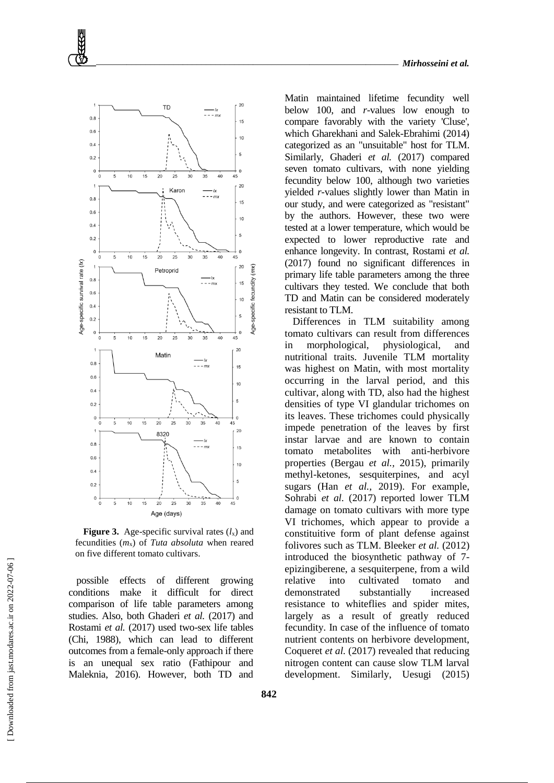

**Figure 3.** Age-specific survival rates  $(l_x)$  and fecundities  $(m_x)$  of *Tuta absoluta* when reared on five different tomato cultivars.

possible effects of different growing conditions make it difficult for direct comparison of life table parameters among studies. Also, both Ghaderi *et al.* (2017) and Rostami *et al.* (2017) used two-sex life tables (Chi, 1988), which can lead to different outcomes from a female-only approach if there is an unequal sex ratio (Fathipour and Maleknia, 2016). However, both TD and

Matin maintained lifetime fecundity well below 100, and *r*-values low enough to compare favorably with the variety 'Cluse', which Gharekhani and Salek-Ebrahimi (2014) categorized as an "unsuitable" host for TLM. Similarly, Ghaderi *et al.* (2017) compared seven tomato cultivars, with none yielding fecundity below 100, although two varieties yielded *r-*values slightly lower than Matin in our study, and were categorized as "resistant" by the authors. However, these two were tested at a lower temperature, which would be expected to lower reproductive rate and enhance longevity. In contrast, Rostami *et al.* (2017) found no significant differences in primary life table parameters among the three cultivars they tested. We conclude that both TD and Matin can be considered moderately resistant to TLM.

Differences in TLM suitability among tomato cultivars can result from differences in morphological, physiological, and nutritional traits. Juvenile TLM mortality was highest on Matin, with most mortality occurring in the larval period, and this cultivar, along with TD, also had the highest densities of type VI glandular trichomes on its leaves. These trichomes could physically impede penetration of the leaves by first instar larvae and are known to contain tomato metabolites with anti-herbivore properties (Bergau *et al.,* 2015), primarily methyl-ketones, sesquiterpines, and acyl sugars (Han *et al.,* 2019). For example, Sohrabi *et al.* (2017) reported lower TLM damage on tomato cultivars with more type VI trichomes, which appear to provide a constituitive form of plant defense against folivores such as TLM. Bleeker *et al.* (2012) introduced the biosynthetic pathway of 7 epizingiberene, a sesquiterpene, from a wild relative into cultivated tomato and demonstrated substantially increased resistance to whiteflies and spider mites, largely as a result of greatly reduced fecundity. In case of the influence of tomato nutrient contents on herbivore development, Coqueret *et al.* (2017) revealed that reducing nitrogen content can cause slow TLM larval development. Similarly, Uesugi (2015)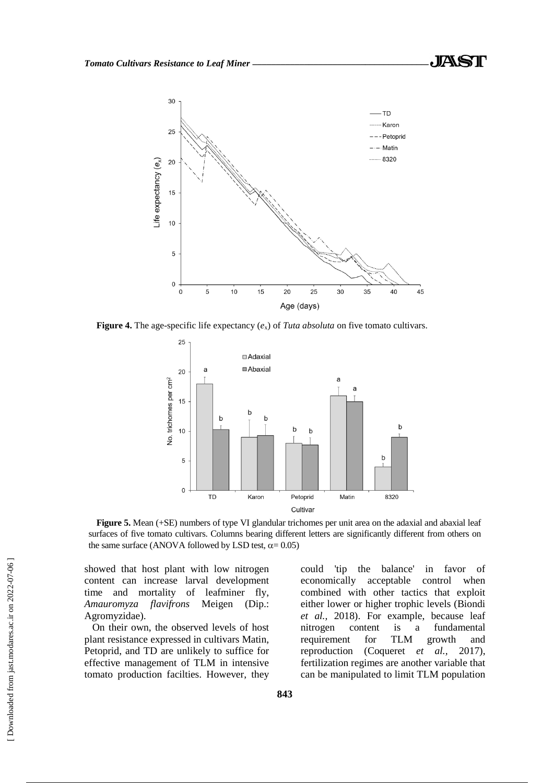

**Figure 4.** The age-specific life expectancy (*e*x) of *Tuta absoluta* on five tomato cultivars.



Figure 5. Mean (+SE) numbers of type VI glandular trichomes per unit area on the adaxial and abaxial leaf surfaces of five tomato cultivars. Columns bearing different letters are significantly different from others on the same surface (ANOVA followed by LSD test,  $\alpha$  = 0.05)

showed that host plant with low nitrogen content can increase larval development time and mortality of leafminer fly, *Amauromyza flavifrons* Meigen (Dip.: Agromyzidae).

On their own, the observed levels of host plant resistance expressed in cultivars Matin, Petoprid, and TD are unlikely to suffice for effective management of TLM in intensive tomato production facilties. However, they

could 'tip the balance' in favor of economically acceptable control when combined with other tactics that exploit either lower or higher trophic levels (Biondi *et al.,* 2018). For example, because leaf nitrogen content is a fundamental requirement for TLM growth and reproduction (Coqueret *et al.,* 2017), fertilization regimes are another variable that can be manipulated to limit TLM population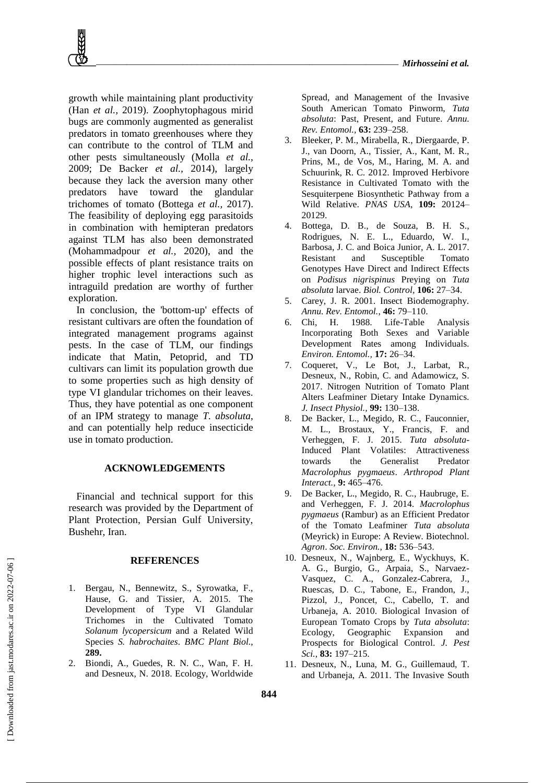growth while maintaining plant productivity (Han *et al.,* 2019). Zoophytophagous mirid bugs are commonly augmented as generalist predators in tomato greenhouses where they can contribute to the control of TLM and other pests simultaneously (Molla *et al.,* 2009; De Backer *et al.,* 2014), largely because they lack the aversion many other predators have toward the glandular trichomes of tomato (Bottega *et al.,* 2017). The feasibility of deploying egg parasitoids in combination with hemipteran predators against TLM has also been demonstrated (Mohammadpour *et al.,* 2020), and the possible effects of plant resistance traits on higher trophic level interactions such as intraguild predation are worthy of further exploration.

In conclusion, the 'bottom-up' effects of resistant cultivars are often the foundation of integrated management programs against pests. In the case of TLM, our findings indicate that Matin, Petoprid, and TD cultivars can limit its population growth due to some properties such as high density of type VI glandular trichomes on their leaves. Thus, they have potential as one component of an IPM strategy to manage *T. absoluta*, and can potentially help reduce insecticide use in tomato production.

## **ACKNOWLEDGEMENTS**

Financial and technical support for this research was provided by the Department of Plant Protection, Persian Gulf University, Bushehr, Iran.

#### **REFERENCES**

- 1. Bergau, N., Bennewitz, S., Syrowatka, F., Hause, G. and Tissier, A. 2015. The Development of Type VI Glandular Trichomes in the Cultivated Tomato *Solanum lycopersicum* and a Related Wild Species *S. habrochaites*. *BMC Plant Biol.,* **289.**
- 2. Biondi, A., Guedes, R. N. C., Wan, F. H. and Desneux, N. 2018. Ecology, Worldwide

Spread, and Management of the Invasive South American Tomato Pinworm, *Tuta absoluta*: Past, Present, and Future. *Annu. Rev. Entomol.,* **63:** 239–258.

- 3. Bleeker, P. M., Mirabella, R., Diergaarde, P. J., van Doorn, A., Tissier, A., Kant, M. R., Prins, M., de Vos, M., Haring, M. A. and Schuurink, R. C. 2012. Improved Herbivore Resistance in Cultivated Tomato with the Sesquiterpene Biosynthetic Pathway from a Wild Relative. *PNAS USA*, **109:** 20124– 20129.
- 4. Bottega, D. B., de Souza, B. H. S., Rodrigues, N. E. L., Eduardo, W. I., Barbosa, J. C. and Boica Junior, A. L. 2017. Resistant and Susceptible Tomato Genotypes Have Direct and Indirect Effects on *Podisus nigrispinus* Preying on *Tuta absoluta* larvae. *Biol. Control,* **106:** 27–34.
- 5. Carey, J. R. 2001. Insect Biodemography. *Annu. Rev. Entomol.*, **46:** 79–110.
- 6. Chi, H. 1988. Life-Table Analysis Incorporating Both Sexes and Variable Development Rates among Individuals. *Environ. Entomol.,* **17:** 26–34.
- 7. Coqueret, V., Le Bot, J., Larbat, R., Desneux, N., Robin, C. and Adamowicz, S. 2017. Nitrogen Nutrition of Tomato Plant Alters Leafminer Dietary Intake Dynamics. *J. Insect Physiol.,* **99:** 130–138.
- 8. De Backer, L., Megido, R. C., Fauconnier, M. L., Brostaux, Y., Francis, F. and Verheggen, F. J. 2015. *Tuta absoluta*-Induced Plant Volatiles: Attractiveness towards the Generalist Predator *Macrolophus pygmaeus*. *Arthropod Plant Interact.,* **9:** 465–476.
- 9. De Backer, L., Megido, R. C., Haubruge, E. and Verheggen, F. J. 2014. *Macrolophus pygmaeus* (Rambur) as an Efficient Predator of the Tomato Leafminer *Tuta absoluta* (Meyrick) in Europe: A Review. Biotechnol. *Agron*. *Soc. Environ.,* **18:** 536–543.
- 10. Desneux, N., Wajnberg, E., Wyckhuys, K. A. G., Burgio, G., Arpaia, S., Narvaez-Vasquez, C. A., Gonzalez-Cabrera, J., Ruescas, D. C., Tabone, E., Frandon, J., Pizzol, J., Poncet, C., Cabello, T. and Urbaneja, A. 2010. Biological Invasion of European Tomato Crops by *Tuta absoluta*: Ecology, Geographic Expansion and Prospects for Biological Control. *J. Pest Sci.*, **83:** 197–215.
- 11. Desneux, N., Luna, M. G., Guillemaud, T. and Urbaneja, A. 2011. The Invasive South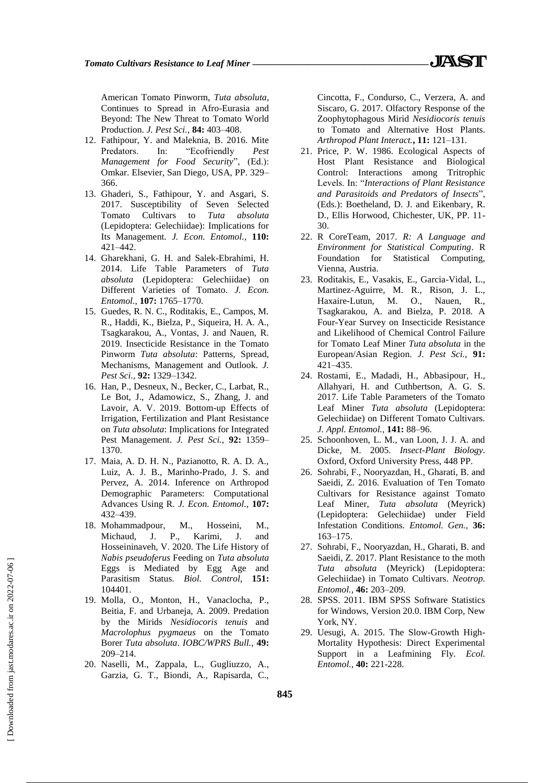American Tomato Pinworm, *Tuta absoluta*, Continues to Spread in Afro-Eurasia and Beyond: The New Threat to Tomato World Production. *J. Pest Sci.,* **84:** 403–408.

- 12. Fathipour, Y. and Maleknia, B. 2016. Mite Predators. In: "Ecofriendly *Pest Management for Food Security*", (Ed.): Omkar. Elsevier, San Diego, USA, PP. 329– 366.
- 13. Ghaderi, S., Fathipour, Y. and Asgari, S. 2017. Susceptibility of Seven Selected Tomato Cultivars to *Tuta absoluta*  (Lepidoptera: Gelechiidae): Implications for Its Management. *J. Econ. Entomol.,* **110:** 421–442.
- 14. Gharekhani, G. H. and Salek-Ebrahimi, H. 2014. Life Table Parameters of *Tuta absoluta* (Lepidoptera: Gelechiidae) on Different Varieties of Tomato. *J. Econ. Entomol.*, **107:** 1765–1770.
- 15. Guedes, R. N. C., Roditakis, E., Campos, M. R., Haddi, K., Bielza, P., Siqueira, H. A. A., Tsagkarakou, A., Vontas, J. and Nauen, R. 2019. Insecticide Resistance in the Tomato Pinworm *Tuta absoluta*: Patterns, Spread, Mechanisms, Management and Outlook. *J. Pest Sci.,* **92:** 1329–1342.
- 16. Han, P., Desneux, N., Becker, C., Larbat, R., Le Bot, J., Adamowicz, S., Zhang, J. and Lavoir, A. V. 2019. Bottom-up Effects of Irrigation, Fertilization and Plant Resistance on *Tuta absoluta*: Implications for Integrated Pest Management. *J. Pest Sci.,* **92:** 1359– 1370.
- 17. Maia, A. D. H. N., Pazianotto, R. A. D. A., Luiz, A. J. B., Marinho-Prado, J. S. and Pervez, A. 2014. Inference on Arthropod Demographic Parameters: Computational Advances Using R. *J. Econ. Entomol.,* **107:** 432–439.
- 18. Mohammadpour, M., Hosseini, M., Michaud, J. P., Karimi, J. and Hosseininaveh, V. 2020. The Life History of *Nabis pseudoferus* Feeding on *Tuta absoluta* Eggs is Mediated by Egg Age and Parasitism Status. *Biol. Control,* **151:** 104401.
- 19. Molla, O., Monton, H., Vanaclocha, P., Beitia, F. and Urbaneja, A. 2009. Predation by the Mirids *Nesidiocoris tenuis* and *Macrolophus pygmaeus* on the Tomato Borer *Tuta absoluta*. *IOBC/WPRS Bull.,* **49:** 209–214.
- 20. Naselli, M., Zappala, L., Gugliuzzo, A., Garzia, G. T., Biondi, A., Rapisarda, C.,

Cincotta, F., Condurso, C., Verzera, A. and Siscaro, G. 2017. Olfactory Response of the Zoophytophagous Mirid *Nesidiocoris tenuis* to Tomato and Alternative Host Plants. *Arthropod Plant Interact.***, 11:** 121–131.

- 21. Price, P. W. 1986. Ecological Aspects of Host Plant Resistance and Biological Control: Interactions among Tritrophic Levels. In: "*Interactions of Plant Resistance and Parasitoids and Predators of Insects*", (Eds.): Boetheland, D. J. and Eikenbary, R. D., Ellis Horwood, Chichester, UK, PP. 11- 30.
- 22. R CoreTeam, 2017. *R: A Language and Environment for Statistical Computing*. R Foundation for Statistical Computing, Vienna, Austria.
- 23. Roditakis, E., Vasakis, E., Garcia-Vidal, L., Martinez-Aguirre, M. R., Rison, J. L., Haxaire-Lutun, M. O., Nauen, R., Tsagkarakou, A. and Bielza, P. 2018. A Four-Year Survey on Insecticide Resistance and Likelihood of Chemical Control Failure for Tomato Leaf Miner *Tuta absoluta* in the European/Asian Region. *J. Pest Sci.,* **91:** 421–435.
- 24. Rostami, E., Madadi, H., Abbasipour, H., Allahyari, H. and Cuthbertson, A. G. S. 2017. Life Table Parameters of the Tomato Leaf Miner *Tuta absoluta* (Lepidoptera: Gelechiidae) on Different Tomato Cultivars. *J. Appl. Entomol.,* **141:** 88–96.
- 25. Schoonhoven, L. M., van Loon, J. J. A. and Dicke, M. 2005. *Insect-Plant Biology.* Oxford, Oxford University Press, 448 PP.
- 26. Sohrabi, F., Nooryazdan, H., Gharati, B. and Saeidi, Z. 2016. Evaluation of Ten Tomato Cultivars for Resistance against Tomato Leaf Miner, *Tuta absoluta* (Meyrick) (Lepidoptera: Gelechiidae) under Field Infestation Conditions. *Entomol. Gen.,* **36:** 163–175.
- 27. Sohrabi, F., Nooryazdan, H., Gharati, B. and Saeidi, Z. 2017. Plant Resistance to the moth *Tuta absoluta* (Meyrick) (Lepidoptera: Gelechiidae) in Tomato Cultivars. *Neotrop. Entomol.,* **46:** 203–209.
- 28. SPSS. 2011. IBM SPSS Software Statistics for Windows, Version 20.0. IBM Corp, New York, NY.
- 29. Uesugi, A. 2015. The Slow-Growth High-Mortality Hypothesis: Direct Experimental Support in a Leafmining Fly. *Ecol. Entomol.*, **40:** 221-228.